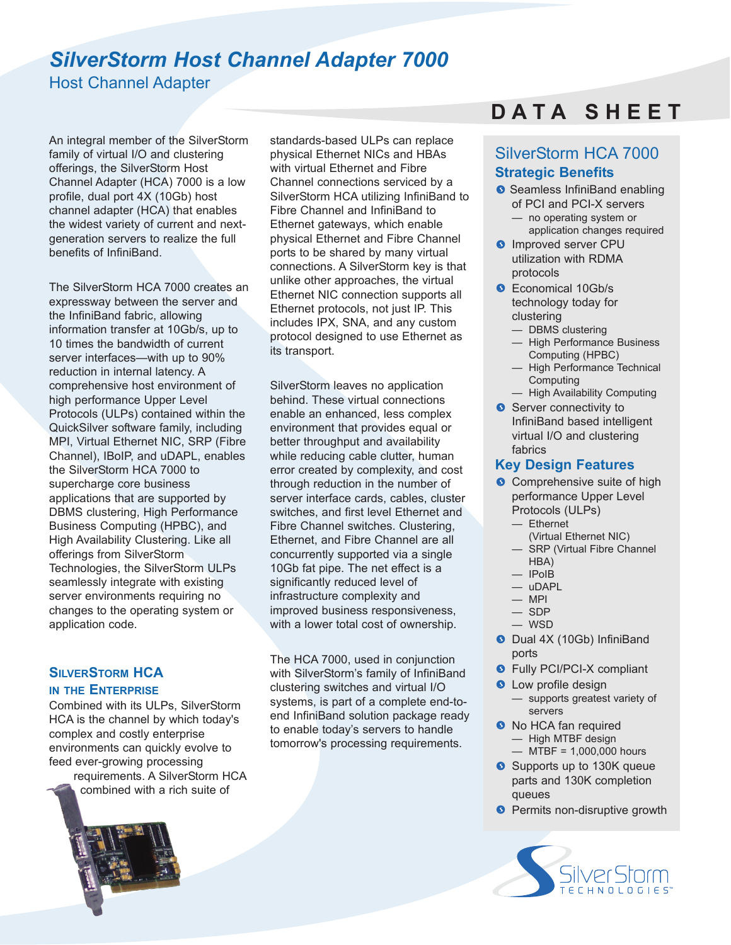## *SilverStorm Host Channel Adapter 7000*

Host Channel Adapter

An integral member of the SilverStorm family of virtual I/O and clustering offerings, the SilverStorm Host Channel Adapter (HCA) 7000 is a low profile, dual port 4X (10Gb) host channel adapter (HCA) that enables the widest variety of current and nextgeneration servers to realize the full benefits of InfiniBand.

The SilverStorm HCA 7000 creates an expressway between the server and the InfiniBand fabric, allowing information transfer at 10Gb/s, up to 10 times the bandwidth of current server interfaces—with up to 90% reduction in internal latency. A comprehensive host environment of high performance Upper Level Protocols (ULPs) contained within the QuickSilver software family, including MPI, Virtual Ethernet NIC, SRP (Fibre Channel), IBoIP, and uDAPL, enables the SilverStorm HCA 7000 to supercharge core business applications that are supported by DBMS clustering, High Performance Business Computing (HPBC), and High Availability Clustering. Like all offerings from SilverStorm Technologies, the SilverStorm ULPs seamlessly integrate with existing server environments requiring no changes to the operating system or application code.

### **SILVERSTORM HCA IN THE ENTERPRISE**

Combined with its ULPs, SilverStorm HCA is the channel by which today's complex and costly enterprise environments can quickly evolve to feed ever-growing processing

requirements. A SilverStorm HCA combined with a rich suite of

standards-based ULPs can replace physical Ethernet NICs and HBAs with virtual Ethernet and Fibre Channel connections serviced by a SilverStorm HCA utilizing InfiniBand to Fibre Channel and InfiniBand to Ethernet gateways, which enable physical Ethernet and Fibre Channel ports to be shared by many virtual connections. A SilverStorm key is that unlike other approaches, the virtual Ethernet NIC connection supports all Ethernet protocols, not just IP. This includes IPX, SNA, and any custom protocol designed to use Ethernet as its transport.

SilverStorm leaves no application behind. These virtual connections enable an enhanced, less complex environment that provides equal or better throughput and availability while reducing cable clutter, human error created by complexity, and cost through reduction in the number of server interface cards, cables, cluster switches, and first level Ethernet and Fibre Channel switches. Clustering, Ethernet, and Fibre Channel are all concurrently supported via a single 10Gb fat pipe. The net effect is a significantly reduced level of infrastructure complexity and improved business responsiveness, with a lower total cost of ownership.

The HCA 7000, used in conjunction with SilverStorm's family of InfiniBand clustering switches and virtual I/O systems, is part of a complete end-toend InfiniBand solution package ready to enable today's servers to handle tomorrow's processing requirements.

# **D A T A S H E E T**

### SilverStorm HCA 7000 **Strategic Benefits**

- Seamless InfiniBand enabling of PCI and PCI-X servers
	- no operating system or application changes required
- **O** Improved server CPU utilization with RDMA protocols
- **C** Economical 10Gb/s technology today for clustering
	- DBMS clustering
	- High Performance Business Computing (HPBC)
	- High Performance Technical **Computing**
	- High Availability Computing
- Server connectivity to InfiniBand based intelligent virtual I/O and clustering fabrics

### **Key Design Features**

- **O** Comprehensive suite of high performance Upper Level Protocols (ULPs)
	- Ethernet
	- (Virtual Ethernet NIC)
	- SRP (Virtual Fibre Channel HBA)
	- IPoIB
	- uDAPL
	- $-$  MPI
	- SDP
	- WSD
- O Dual 4X (10Gb) InfiniBand ports
- **•** Fully PCI/PCI-X compliant
- **Q** Low profile design
	- supports greatest variety of servers
- **O** No HCA fan required — High MTBF design
	- $-$  MTBF = 1,000,000 hours
- Supports up to 130K queue parts and 130K completion queues
- **Permits non-disruptive growth**